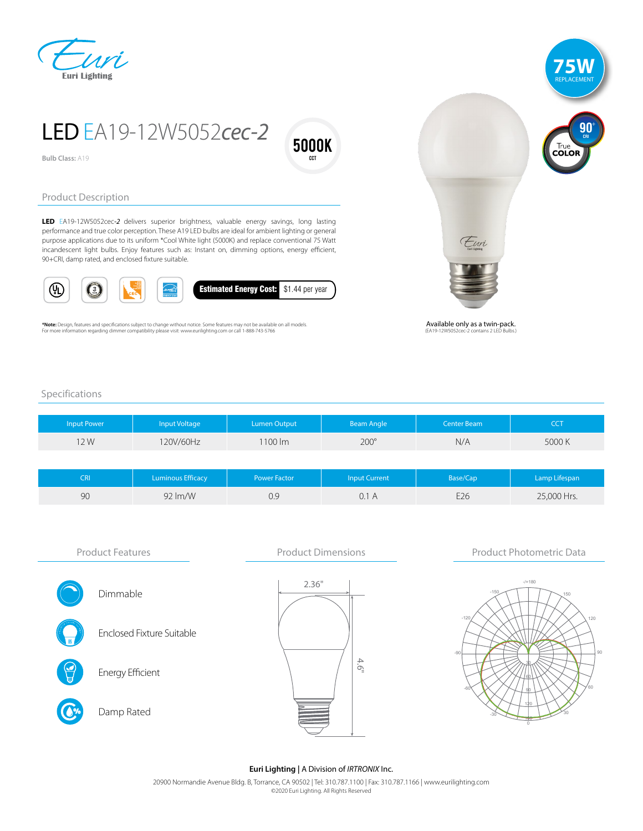



LED EA19-12W5052cec-2

5000K cct

**Bulb Class:** A19

## Product Description

LED EA19-12W5052cec-2 delivers superior brightness, valuable energy savings, long lasting performance and true color perception. These A19 LED bulbs are ideal for ambient lighting or general purpose applications due to its uniform \*Cool White light (5000K) and replace conventional 75 Watt incandescent light bulbs. Enjoy features such as: Instant on, dimming options, energy efficient, 90+CRI, damp rated, and enclosed fixture suitable.



**\*Note:** Design, features and specifications subject to change without notice. Some features may not be available on all models.<br>For more information regarding dimmer compatibility please visit: www.eurilighting.com or cal



Available only as a twin-pack. (FA19-12W<sup>6</sup>

## Specifications

| <b>Input Power</b> | Input Voltage | Lumen Output | <b>Beam Angle</b> | Center Beam | CCT    |
|--------------------|---------------|--------------|-------------------|-------------|--------|
| 12W                | 120V/60Hz     | 1100 lm      | $200^\circ$       | N/A         | 5000 K |
|                    |               |              |                   |             |        |

| CRI | <b>Luminous Efficacy</b> | <b>Power Factor</b> | Input Current | Base/Cap | Lamp Lifespan |
|-----|--------------------------|---------------------|---------------|----------|---------------|
| 90  | $92 \, \text{Im/W}$      | 0.9                 | 0.1 A         | E26      | 25,000 Hrs.   |



## **Euri Lighting |** A Division of IRTRONIX Inc.

20900 Normandie Avenue Bldg. B, Torrance, CA 90502 | Tel: 310.787.1100 | Fax: 310.787.1166 | www.eurilighting.com ©2020 Euri Lighting. All Rights Reserved